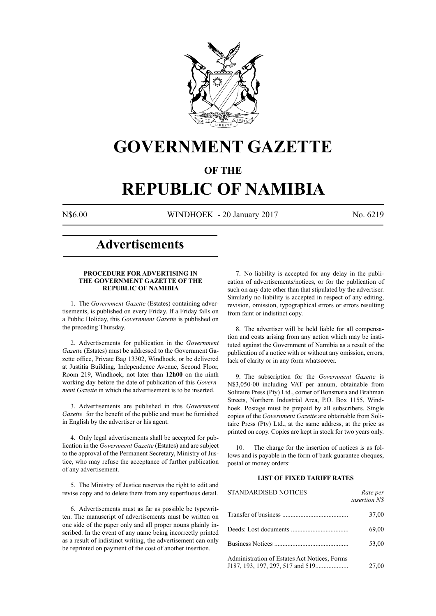

## **GOVERNMENT GAZETTE**

### **OF THE**

# **REPUBLIC OF NAMIBIA**

N\$6.00 WINDHOEK - 20 January 2017 No. 6219

### **Advertisements**

#### **PROCEDURE FOR ADVERTISING IN THE GOVERNMENT GAZETTE OF THE REPUBLIC OF NAMIBIA**

1. The *Government Gazette* (Estates) containing advertisements, is published on every Friday. If a Friday falls on a Public Holiday, this *Government Gazette* is published on the preceding Thursday.

2. Advertisements for publication in the *Government Gazette* (Estates) must be addressed to the Government Gazette office, Private Bag 13302, Windhoek, or be delivered at Justitia Building, Independence Avenue, Second Floor, Room 219, Windhoek, not later than **12h00** on the ninth working day before the date of publication of this *Government Gazette* in which the advertisement is to be inserted.

3. Advertisements are published in this *Government Gazette* for the benefit of the public and must be furnished in English by the advertiser or his agent.

4. Only legal advertisements shall be accepted for publication in the *Government Gazette* (Estates) and are subject to the approval of the Permanent Secretary, Ministry of Justice, who may refuse the acceptance of further publication of any advertisement.

5. The Ministry of Justice reserves the right to edit and revise copy and to delete there from any superfluous detail.

6. Advertisements must as far as possible be typewritten. The manuscript of advertisements must be written on one side of the paper only and all proper nouns plainly inscribed. In the event of any name being incorrectly printed as a result of indistinct writing, the advertisement can only be reprinted on payment of the cost of another insertion.

7. No liability is accepted for any delay in the publication of advertisements/notices, or for the publication of such on any date other than that stipulated by the advertiser. Similarly no liability is accepted in respect of any editing, revision, omission, typographical errors or errors resulting from faint or indistinct copy.

8. The advertiser will be held liable for all compensation and costs arising from any action which may be instituted against the Government of Namibia as a result of the publication of a notice with or without any omission, errors, lack of clarity or in any form whatsoever.

9. The subscription for the *Government Gazette* is N\$3,050-00 including VAT per annum, obtainable from Solitaire Press (Pty) Ltd., corner of Bonsmara and Brahman Streets, Northern Industrial Area, P.O. Box 1155, Windhoek. Postage must be prepaid by all subscribers. Single copies of the *Government Gazette* are obtainable from Solitaire Press (Pty) Ltd., at the same address, at the price as printed on copy. Copies are kept in stock for two years only.

10. The charge for the insertion of notices is as follows and is payable in the form of bank guarantee cheques, postal or money orders:

#### **LIST OF FIXED TARIFF RATES**

| <b>STANDARDISED NOTICES</b>                  | Rate per<br><i>insertion NS</i> |
|----------------------------------------------|---------------------------------|
|                                              | 37,00                           |
|                                              | 69,00                           |
|                                              | 53,00                           |
| Administration of Estates Act Notices, Forms | 27,00                           |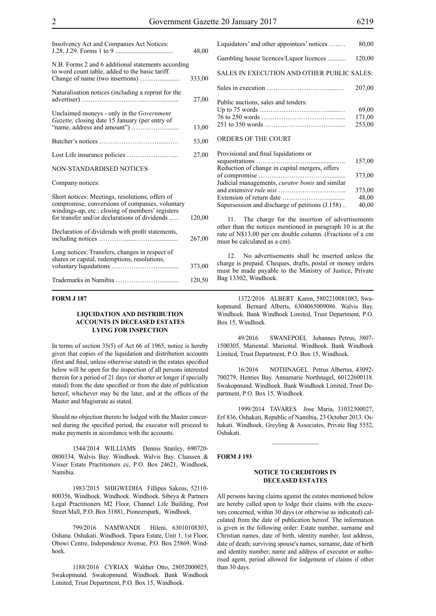| Insolvency Act and Companies Act Notices:                                                                                                                                                               | 48,00  |
|---------------------------------------------------------------------------------------------------------------------------------------------------------------------------------------------------------|--------|
| N.B. Forms 2 and 6 additional statements according<br>to word count table, added to the basic tariff.                                                                                                   | 333,00 |
| Naturalisation notices (including a reprint for the                                                                                                                                                     | 27,00  |
| Unclaimed moneys - only in the <i>Government</i><br>Gazette, closing date 15 January (per entry of                                                                                                      | 13,00  |
|                                                                                                                                                                                                         | 53,00  |
|                                                                                                                                                                                                         | 27,00  |
| <b>NON-STANDARDISED NOTICES</b>                                                                                                                                                                         |        |
| Company notices:                                                                                                                                                                                        |        |
| Short notices: Meetings, resolutions, offers of<br>compromise, conversions of companies, voluntary<br>windings-up, etc.: closing of members' registers<br>for transfer and/or declarations of dividends | 120,00 |
| Declaration of dividends with profit statements,                                                                                                                                                        | 267,00 |
| Long notices: Transfers, changes in respect of<br>shares or capital, redemptions, resolutions,                                                                                                          | 373,00 |
|                                                                                                                                                                                                         | 120,50 |

#### **FORM J 187**

#### **LIQUIDATION AND DISTRIBUTION ACCOUNTS IN DECEASED ESTATES LYING FOR INSPECTION**

In terms of section 35(5) of Act 66 of 1965, notice is hereby given that copies of the liquidation and distribution accounts (first and final, unless otherwise stated) in the estates specified below will be open for the inspection of all persons interested therein for a period of 21 days (or shorter or longer if specially stated) from the date specified or from the date of publication hereof, whichever may be the later, and at the offices of the Master and Magistrate as stated.

Should no objection thereto be lodged with the Master concerned during the specified period, the executor will proceed to make payments in accordance with the accounts.

1544/2014 WILLIAMS Dennis Stanley, 690720- 0800334, Walvis Bay. Windhoek. Walvis Bay. Claassen & Visser Estate Practitioners cc, P.O. Box 24621, Windhoek, Namibia.

1983/2015 SHIGWEDHA Fillipus Sakeus, 52110- 800356, Windhoek. Windhoek. Windhoek. Sibeya & Partners Legal Practitioners M2 Floor, Channel Life Building, Post Street Mall, P.O. Box 31881, Pioneerspark, Windhoek.

799/2016 NAMWANDI Hileni, 63010108303, Oshana. Oshakati. Windhoek. Tipara Estate, Unit 1, 1st Floor, Obowi Centre, Independence Avenue, P.O. Box 25869, Windhoek.

1188/2016 CYRIAX Walther Otto, 28052000025, Swakopmund. Swakopmund. Windhoek. Bank Windhoek Limited, Trust Department, P.O. Box 15, Windhoek.

| Liquidators' and other appointees' notices | 80,00                     |
|--------------------------------------------|---------------------------|
| Gambling house licences/Liquor licences    | 120,00                    |
| SALES IN EXECUTION AND OTHER PUBLIC SALES: |                           |
|                                            | 207,00                    |
| Public auctions, sales and tenders:        | 69,00<br>171,00<br>253,00 |
| ORDERS OF THE COURT                        |                           |

| Provisional and final liquidations or                                |        |
|----------------------------------------------------------------------|--------|
|                                                                      | 157,00 |
| Reduction of change in capital mergers, offers                       |        |
|                                                                      | 373,00 |
| Judicial managements, <i>curator bonis</i> and similar               |        |
|                                                                      | 373,00 |
| Extension of return date $\dots \dots \dots \dots \dots \dots \dots$ | 48,00  |
| Supersession and discharge of petitions (J.158)                      | 40,00  |

The charge for the insertion of advertisements other than the notices mentioned in paragraph 10 is at the rate of N\$13,00 per cm double column. (Fractions of a cm must be calculated as a cm).

12. No advertisements shall be inserted unless the charge is prepaid. Cheques, drafts, postal or money orders must be made payable to the Ministry of Justice, Private Bag 13302, Windhoek.

1372/2016 ALBERT Karen, 5802210081083, Swakopmund. Bernard Alberts, 6304065009086. Walvis Bay. Windhoek. Bank Windhoek Limited, Trust Department, P.O. Box 15, Windhoek.

49/2016 SWANEPOEL Johannes Petrus, 3807- 1500305, Mariental. Mariental. Windhoek. Bank Windhoek Limited, Trust Department, P.O. Box 15, Windhoek.

16/2016 NOTHNAGEL Petrus Albertus, 43092- 700279, Henties Bay. Annamarie Northnagel, 60122600118. Swakopmund. Windhoek. Bank Windhoek Limited, Trust Department, P.O. Box 15, Windhoek.

1999/2014 TAVARES Jose Maria, 31032300027, Erf 836, Oshakati, Republic of Namibia, 23 October 2013. Oshakati. Windhoek. Greyling & Associates, Private Bag 5552, Oshakati.

#### **FORM J 193**

#### **NOTICE TO CREDITORS IN DECEASED ESTATES**

All persons having claims against the estates mentioned below are hereby called upon to lodge their claims with the executors concerned, within 30 days (or otherwise as indicated) calculated from the date of publication hereof. The information is given in the following order: Estate number, surname and Christian names, date of birth, identity number, last address, date of death; surviving spouse's names, surname, date of birth and identity number; name and address of executor or authorised agent, period allowed for lodgement of claims if other than 30 days.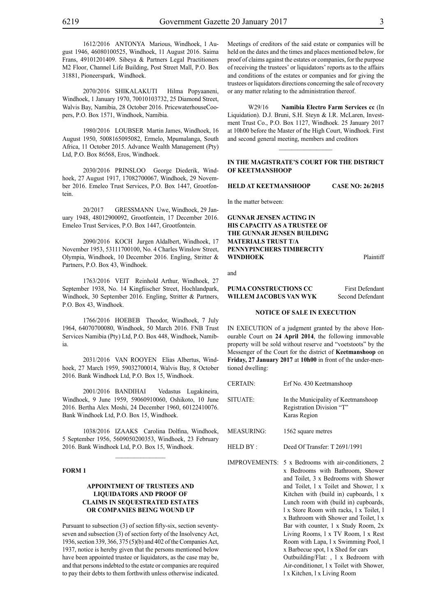1612/2016 ANTONYA Marious, Windhoek, 1 August 1946, 46080100525, Windhoek, 11 August 2016. Saima Frans, 49101201409. Sibeya & Partners Legal Practitioners M2 Floor, Channel Life Building, Post Street Mall, P.O. Box 31881, Pioneerspark, Windhoek.

2070/2016 SHIKALAKUTI Hilma Popyaaneni, Windhoek, 1 January 1970, 70010103732, 25 Diamond Street, Walvis Bay, Namibia, 28 October 2016. PricewaterhouseCoopers, P.O. Box 1571, Windhoek, Namibia.

1980/2016 LOUBSER Martin James, Windhoek, 16 August 1950, 5008165095082, Ermelo, Mpumalanga, South Africa, 11 October 2015. Advance Wealth Management (Pty) Ltd, P.O. Box 86568, Eros, Windhoek.

2030/2016 PRINSLOO George Diederik, Windhoek, 27 August 1917, 17082700067, Windhoek, 29 November 2016. Emeleo Trust Services, P.O. Box 1447, Grootfontein.

20/2017 GRESSMANN Uwe, Windhoek, 29 January 1948, 48012900092, Grootfontein, 17 December 2016. Emeleo Trust Services, P.O. Box 1447, Grootfontein.

2090/2016 KOCH Jurgen Aldalbert, Windhoek, 17 November 1953, 53111700100, No. 4 Charles Winslow Street, Olympia, Windhoek, 10 December 2016. Engling, Stritter & Partners, P.O. Box 43, Windhoek.

1763/2016 VEIT Reinhold Arthur, Windhoek, 27 September 1938, No. 14 Kingfiischer Street, Hochlandpark, Windhoek, 30 September 2016. Engling, Stritter & Partners, P.O. Box 43, Windhoek.

1766/2016 HOEBEB Theodor, Windhoek, 7 July 1964, 64070700080, Windhoek, 50 March 2016. FNB Trust Services Namibia (Pty) Ltd, P.O. Box 448, Windhoek, Namibia.

2031/2016 VAN ROOYEN Elias Albertus, Windhoek, 27 March 1959, 59032700014, Walvis Bay, 8 October 2016. Bank Windhoek Ltd, P.O. Box 15, Windhoek.

2001/2016 BANDIHAI Vedastus Lugakineira, Windhoek, 9 June 1959, 59060910060, Oshikoto, 10 June 2016. Bertha Alex Moshi, 24 December 1960, 60122410076. Bank Windhoek Ltd, P.O. Box 15, Windhoek.

1038/2016 IZAAKS Carolina Dolfina, Windhoek, 5 September 1956, 5609050200353, Windhoek, 23 February 2016. Bank Windhoek Ltd, P.O. Box 15, Windhoek.

 $\mathcal{L}=\mathcal{L}^{\mathcal{L}}$ 

#### **FORM 1**

#### **APPOINTMENT OF TRUSTEES AND LIQUIDATORS AND PROOF OF CLAIMS IN SEQUESTRATED ESTATES OR COMPANIES BEING WOUND UP**

Pursuant to subsection (3) of section fifty-six, section seventyseven and subsection (3) of section forty of the Insolvency Act, 1936, section 339, 366, 375 (5)(b) and 402 of the Companies Act, 1937, notice is hereby given that the persons mentioned below have been appointed trustee or liquidators, as the case may be, and that persons indebted to the estate or companies are required to pay their debts to them forthwith unless otherwise indicated.

Meetings of creditors of the said estate or companies will be held on the dates and the times and places mentioned below, for proof of claims against the estates or companies, for the purpose of receiving the trustees' or liquidators' reports as to the affairs and conditions of the estates or companies and for giving the trustees or liquidators directions concerning the sale of recovery or any matter relating to the administration thereof.

W29/16 **Namibia Electro Farm Services cc** (In Liquidation). D.J. Bruni, S.H. Steyn & I.R. McLaren, Investment Trust Co., P.O. Box 1127, Windhoek. 25 January 2017 at 10h00 before the Master of the High Court, Windhoek. First and second general meeting, members and creditors

#### **IN THE MAGISTRATE'S COURT FOR THE DISTRICT OF KEETMANSHOOP**

 $\overline{\phantom{a}}$  ,  $\overline{\phantom{a}}$  ,  $\overline{\phantom{a}}$  ,  $\overline{\phantom{a}}$  ,  $\overline{\phantom{a}}$  ,  $\overline{\phantom{a}}$  ,  $\overline{\phantom{a}}$  ,  $\overline{\phantom{a}}$  ,  $\overline{\phantom{a}}$  ,  $\overline{\phantom{a}}$  ,  $\overline{\phantom{a}}$  ,  $\overline{\phantom{a}}$  ,  $\overline{\phantom{a}}$  ,  $\overline{\phantom{a}}$  ,  $\overline{\phantom{a}}$  ,  $\overline{\phantom{a}}$ 

**HELD AT KEETMANSHOOP CASE NO: 26/2015**

In the matter between:

**GUNNAR JENSEN ACTING IN HIS CAPACITY AS A TRUSTEE OF THE GUNNAR JENSEN BUILDING MATERIALS TRUST T/A PENNYPINCHERS TIMBERCITY WINDHOEK** Plaintiff

and

#### **PUMA CONSTRUCTIONS CC** First Defendant **WILLEM JACOBUS VAN WYK** Second Defendant

#### **NOTICE OF SALE IN EXECUTION**

IN EXECUTION of a judgment granted by the above Honourable Court on **24 April 2014**, the following immovable property will be sold without reserve and "voetstoots" by the Messenger of the Court for the district of **Keetmanshoop** on **Friday, 27 January 2017** at **10h00** in front of the under-mentioned dwelling:

| <b>CERTAIN:</b>   | Erf No. 430 Keetmanshoop                                                         |
|-------------------|----------------------------------------------------------------------------------|
| SITUATE:          | In the Municipality of Keetmanshoop<br>Registration Division "T"<br>Karas Region |
| <b>MEASURING:</b> | 1562 square metres                                                               |
| HELD BY:          | Deed Of Transfer: T 2691/1991                                                    |
|                   |                                                                                  |

IMPROVEMENTS: 5 x Bedrooms with air-conditioners, 2 x Bedrooms with Bathroom, Shower and Toilet, 3 x Bedrooms with Shower and Toilet, l x Toilet and Shower, l x Kitchen with (build in) cupboards, 1 x Lunch room with (build in) cupboards, l x Store Room with racks, l x Toilet, l x Bathroom with Shower and Toilet, l x Bar with counter, 1 x Study Room, 2x Living Rooms, l x TV Room, l x Rest Room with Lapa, l x Swimming Pool, l x Barbecue spot, l x Shed for cars Outbuilding/Flat: , l x Bedroom with Air-conditioner, l x Toilet with Shower, l x Kitchen, l x Living Room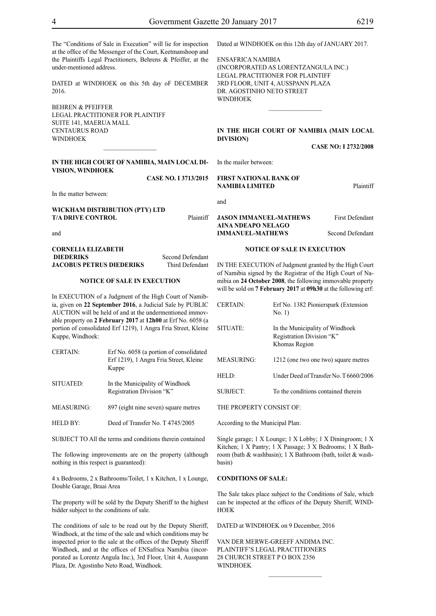The "Conditions of Sale in Execution" will lie for inspection at the office of the Messenger of the Court, Keetmanshoop and the Plaintiffs Legal Practitioners, Behrens & Pfeiffer, at the under-mentioned address.

DATED at WINDHOEK on this 5th day oF DECEMBER 2016.

BEHREN & PFEIFFER LEGAL PRACTITIONER FOR Plaintiff SUITE 141, MAERUA MALL CENTAURUS ROAD **WINDHOEK** 

#### **IN THE HIGH COURT OF NAMIBIA, MAIN LOCAL DI-VISION, WINDHOEK**

 $\overline{\phantom{a}}$  , where  $\overline{\phantom{a}}$ 

**Case No. I 3713/2015**

In the matter between:

**WICKHAM DISTRIBUTION (PTY) LTD T/A DRIVE CONTROL** Plaintiff

and

#### **CORNELIA ELIZABETH DIEDERIKS** Second Defendant **JACOBUS PETRUS DIEDERIKS** Third Defendant

#### **NOTICE OF SALE IN EXECUTION**

In EXECUTION of a Judgment of the High Court of Namibia, given on **22 September 2016**, a Judicial Sale by PUBLIC AUCTION will be held of and at the undermentioned immovable property on **2 February 2017** at **12h00** at Erf No. 6058 (a portion of consolidated Erf 1219), 1 Angra Fria Street, Kleine Kuppe, Windhoek:

| <b>CERTAIN:</b>   | Erf No. 6058 (a portion of consolidated<br>Erf 1219), 1 Angra Fria Street, Kleine<br>Kuppe |
|-------------------|--------------------------------------------------------------------------------------------|
| SITUATED:         | In the Municipality of Windhoek<br>Registration Division "K"                               |
| <b>MEASURING:</b> | 897 (eight nine seven) square metres                                                       |

HELD BY: Deed of Transfer No. T 4745/2005

SUBJECT TO All the terms and conditions therein contained

The following improvements are on the property (although nothing in this respect is guaranteed):

4 x Bedrooms, 2 x Bathrooms/Toilet, 1 x Kitchen, 1 x Lounge, Double Garage, Braai Area

The property will be sold by the Deputy Sheriff to the highest bidder subject to the conditions of sale.

The conditions of sale to be read out by the Deputy Sheriff, Windhoek, at the time of the sale and which conditions may be inspected prior to the sale at the offices of the Deputy Sheriff Windhoek, and at the offices of ENSafrica Namibia (incorporated as Lorentz Angula Inc.), 3rd Floor, Unit 4, Ausspann Plaza, Dr. Agostinho Neto Road, Windhoek.

Dated at WINDHOEK on this 12th day of JANUARY 2017.

ENSafrica Namibia (incorporated as LorentzAngula Inc.) Legal Practitioner for Plaintiff 3rd Floor, Unit 4, Ausspann Plaza Dr. Agostinho Neto Street WINDHOEK

#### **IN THE HIGH COURT OF NAMIBIA (Main Local Division)**

 $\frac{1}{2}$ 

**CASE NO: I 2732/2008**

In the mailer between:

#### **FIRST NATIONAL BANK OF NAMIBIA LIMITED** Plaintiff

and

#### **JASON IMMANUEL-MATHEWS** First Defendant **AINA NDEAPO NELAGO IMMANUEL-MATHEWS** Second Defendant

#### **NOTICE OF SALE IN EXECUTION**

IN THE EXECUTION of Judgment granted by the High Court of Namibia signed by the Registrar of the High Court of Namibia on **24 October 2008**, the following immovable property will be sold on **7 February 2017** at **09h30** at the following erf:

| Erf No. 1382 Pionierspark (Extension<br>No. 1)                                |
|-------------------------------------------------------------------------------|
| In the Municipality of Windhoek<br>Registration Division "K"<br>Khomas Region |
| 1212 (one two one two) square metres                                          |
| Under Deed of Transfer No. T 6660/2006                                        |
| To the conditions contained therein                                           |
|                                                                               |

THE PROPERTY CONSIST OF:

According to the Municipal Plan:

Single garage; 1 X Lounge; 1 X Lobby; 1 X Diningroom; 1 X Kitchen; 1 X Pantry; 1 X Passage; 3 X Bedrooms; 1 X Bathroom (bath & washbasin); 1 X Bathroom (bath, toilet & washbasin)

#### **CONDITIONS OF SALE:**

The Sale takes place subject to the Conditions of Sale, which can be inspected at the offices of the Deputy Sheriff, WIND-**HOEK** 

 $\frac{1}{2}$ 

DATED at WINDHOEK on 9 December, 2016

VAN DER MERWE-GREEFF ANDIMA INC. Plaintiff'S LEGAL PRACTITIONERS 28 CHURCH STREET P O BOX 2356 **WINDHOEK**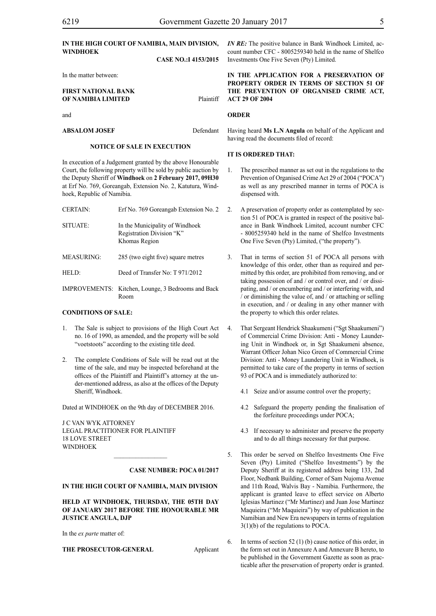#### **IN THE HIGH COURT OF NAMIBIA, MAIN DIVISION, WINDHOEK CASE NO.:I 4153/2015**

In the matter between:

#### **FIRST NATIONAL BANK OF NAMIBIA LIMITED** Plaintiff

and

**ABSALOM JOSEF** Defendant

#### **NOTICE OF SALE IN EXECUTION**

In execution of a Judgement granted by the above Honourable Court, the following property will be sold by public auction by the Deputy Sheriff of **Windhoek** on **2 February 2017, 09H30** at Erf No. 769, Goreangab, Extension No. 2, Katutura, Windhoek, Republic of Namibia.

| <b>CERTAIN:</b>   | Erf No. 769 Goreangab Extension No. 2                                         |
|-------------------|-------------------------------------------------------------------------------|
| SITUATE:          | In the Municipality of Windhoek<br>Registration Division "K"<br>Khomas Region |
| <b>MEASURING:</b> | 285 (two eight five) square metres                                            |
| HELD:             | Deed of Transfer No: T 971/2012                                               |
|                   | IMPROVEMENTS: Kitchen, Lounge, 3 Bedrooms and Back                            |

Room

#### **CONDITIONS OF SALE:**

- 1. The Sale is subject to provisions of the High Court Act no. 16 of 1990, as amended, and the property will be sold "voetstoots" according to the existing title deed.
- 2. The complete Conditions of Sale will be read out at the time of the sale, and may be inspected beforehand at the offices of the Plaintiff and Plaintiff's attorney at the under-mentioned address, as also at the offices of the Deputy Sheriff, Windhoek.

Dated at WINDHOEK on the 9th day of DECEMBER 2016.

J C VAN WYK ATTORNEY Legal Practitioner for Plaintiff 18 LOVE STREET **WINDHOEK** 

#### **CASE NUMBER: POCA 01/2017**

#### **IN THE HIGH COURT OF NAMIBIA, MAIN DIVISION**

 $\frac{1}{2}$ 

**HELD AT WINDHOEK, THURSDAY, THE 05TH DAY OF JANUARY 2017 BEFORE THE HONOURABLE MR JUSTICE ANGULA, DJP**

In the *ex parte* matter of:

**THE PROSECUTOR-GENERAL** Applicant

*IN RE:* The positive balance in Bank Windhoek Limited, account number CFC - 8005259340 held in the name of Shelfco Investments One Five Seven (Pty) Limited.

**IN THE APPLICATION FOR A PRESERVATION OF PROPERTY ORDER IN TERMS OF SECTION 51 OF THE PREVENTION OF ORGANISED CRIME ACT, ACT 29 OF 2004**

#### **ORDER**

Having heard **Ms L.N Angula** on behalf of the Applicant and having read the documents filed of record:

#### **IT IS ORDERED THAT:**

- 1. The prescribed manner as set out in the regulations to the Prevention of Organised Crime Act 29 of 2004 ("POCA") as well as any prescribed manner in terms of POCA is dispensed with.
- 2. A preservation of property order as contemplated by section 51 of POCA is granted in respect of the positive balance in Bank Windhoek Limited, account number CFC - 8005259340 held in the name of Shelfco Investments One Five Seven (Pty) Limited, ("the property").
- 3. That in terms of section 51 of POCA all persons with knowledge of this order, other than as required and permitted by this order, are prohibited from removing, and or taking possession of and / or control over, and / or dissipating, and / or encumbering and / or interfering with, and / or diminishing the value of, and / or attaching or selling in execution, and / or dealing in any other manner with the property to which this order relates.
- 4. That Sergeant Hendrick Shaakumeni ("Sgt Shaakumeni") of Commercial Crime Division: Anti - Money Laundering Unit in Windhoek or, in Sgt Shaakumeni absence, Warrant Officer Johan Nico Green of Commercial Crime Division: Anti - Money Laundering Unit in Windhoek, is permitted to take care of the property in terms of section 93 of POCA and is immediately authorized to:
	- 4.1 Seize and/or assume control over the property;
	- 4.2 Safeguard the property pending the finalisation of the forfeiture proceedings under POCA;
	- 4.3 If necessary to administer and preserve the property and to do all things necessary for that purpose.
- 5. This order be served on Shelfco Investments One Five Seven (Pty) Limited ("Shelfco Investments") by the Deputy Sheriff at its registered address being 133, 2nd Floor, Nedbank Building, Corner of Sam Nujoma Avenue and 11th Road, Walvis Bay - Namibia. Furthermore, the applicant is granted leave to effect service on Alberto Iglesias Martinez ("Mr Martinez) and Juan Jose Martinez Maquieira ("Mr Maquieira") by way of publication in the Namibian and New Era newspapers in terms of regulation 3(1)(b) of the regulations to POCA.
- 6. In terms of section 52 (1) (b) cause notice of this order, in the form set out in Annexure A and Annexure B hereto, to be published in the Government Gazette as soon as practicable after the preservation of property order is granted.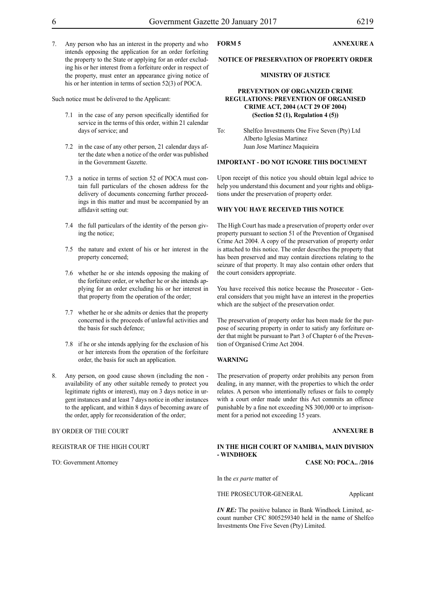7. Any person who has an interest in the property and who intends opposing the application for an order forfeiting the property to the State or applying for an order excluding his or her interest from a forfeiture order in respect of the property, must enter an appearance giving notice of his or her intention in terms of section 52(3) of POCA.

Such notice must be delivered to the Applicant:

- 7.1 in the case of any person specifically identified for service in the terms of this order, within 21 calendar days of service; and
- 7.2 in the case of any other person, 21 calendar days after the date when a notice of the order was published in the Government Gazette.
- 7.3 a notice in terms of section 52 of POCA must contain full particulars of the chosen address for the delivery of documents concerning further proceedings in this matter and must be accompanied by an affidavit setting out:
- 7.4 the full particulars of the identity of the person giving the notice;
- 7.5 the nature and extent of his or her interest in the property concerned;
- 7.6 whether he or she intends opposing the making of the forfeiture order, or whether he or she intends applying for an order excluding his or her interest in that property from the operation of the order;
- 7.7 whether he or she admits or denies that the property concerned is the proceeds of unlawful activities and the basis for such defence;
- 7.8 if he or she intends applying for the exclusion of his or her interests from the operation of the forfeiture order, the basis for such an application.
- Any person, on good cause shown (including the non availability of any other suitable remedy to protect you legitimate rights or interest), may on 3 days notice in urgent instances and at least 7 days notice in other instances to the applicant, and within 8 days of becoming aware of the order, apply for reconsideration of the order;

#### BY ORDER OF THE COURT

REGISTRAR OF THE HIGH COURT

TO: Government Attorney

#### **FORM 5 ANNEXURE A**

#### **NOTICE OF PRESERVATION OF PROPERTY ORDER**

#### **MINISTRY OF JUSTICE**

#### **PREVENTION OF ORGANIZED CRIME REGULATIONS: PREVENTION OF ORGANISED CRIME ACT, 2004 (ACT 29 OF 2004) (Section 52 (1), Regulation 4 (5))**

To: Shelfco Investments One Five Seven (Pty) Ltd Alberto Iglesias Martinez Juan Jose Martinez Maquieira

#### **IMPORTANT - DO NOT IGNORE THIS DOCUMENT**

Upon receipt of this notice you should obtain legal advice to help you understand this document and your rights and obligations under the preservation of property order.

#### **WHY YOU HAVE RECEIVED THIS NOTICE**

The High Court has made a preservation of property order over property pursuant to section 51 of the Prevention of Organised Crime Act 2004. A copy of the preservation of property order is attached to this notice. The order describes the property that has been preserved and may contain directions relating to the seizure of that property. It may also contain other orders that the court considers appropriate.

You have received this notice because the Prosecutor - General considers that you might have an interest in the properties which are the subject of the preservation order.

The preservation of property order has been made for the purpose of securing property in order to satisfy any forfeiture order that might be pursuant to Part 3 of Chapter 6 of the Prevention of Organised Crime Act 2004.

#### **WARNING**

The preservation of property order prohibits any person from dealing, in any manner, with the properties to which the order relates. A person who intentionally refuses or fails to comply with a court order made under this Act commits an offence punishable by a fine not exceeding N\$ 300,000 or to imprisonment for a period not exceeding 15 years.

#### **ANNEXURE B**

#### **IN THE HIGH COURT OF NAMIBIA, MAIN DIVISION - WINDHOEK**

**Case No: POCA.. /2016**

In the *ex parte* matter of

THE PROSECUTOR-GENERAL Applicant

*IN RE*: The positive balance in Bank Windhoek Limited, account number CFC 8005259340 held in the name of Shelfco Investments One Five Seven (Pty) Limited.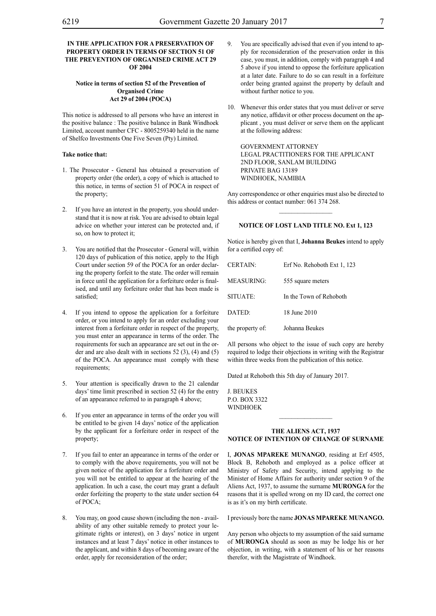#### **IN THE APPLICATION FOR A PRESERVATION OF PROPERTY ORDER IN TERMS OF SECTION 51 OF THE PREVENTION OF ORGANISED CRIME ACT 29 OF 2004**

#### **Notice in terms of section 52 of the Prevention of Organised Crime Act 29 of 2004 (POCA)**

This notice is addressed to all persons who have an interest in the positive balance : The positive balance in Bank Windhoek Limited, account number CFC - 8005259340 held in the name of Shelfco Investments One Five Seven (Pty) Limited.

#### **Take notice that:**

- 1. The Prosecutor General has obtained a preservation of property order (the order), a copy of which is attached to this notice, in terms of section 51 of POCA in respect of the property;
- 2. If you have an interest in the property, you should understand that it is now at risk. You are advised to obtain legal advice on whether your interest can be protected and, if so, on how to protect it;
- 3. You are notified that the Prosecutor General will, within 120 days of publication of this notice, apply to the High Court under section 59 of the POCA for an order declaring the property forfeit to the state. The order will remain in force until the application for a forfeiture order is finalised, and until any forfeiture order that has been made is satisfied;
- 4. If you intend to oppose the application for a forfeiture order, or you intend to apply for an order excluding your interest from a forfeiture order in respect of the property, you must enter an appearance in terms of the order. The requirements for such an appearance are set out in the order and are also dealt with in sections 52 (3), (4) and (5) of the POCA. An appearance must comply with these requirements:
- 5. Your attention is specifically drawn to the 21 calendar days' time limit prescribed in section 52 (4) for the entry of an appearance referred to in paragraph 4 above;
- 6. If you enter an appearance in terms of the order you will be entitled to be given 14 days' notice of the application by the applicant for a forfeiture order in respect of the property;
- 7. If you fail to enter an appearance in terms of the order or to comply with the above requirements, you will not be given notice of the application for a forfeiture order and you will not be entitled to appear at the hearing of the application. In uch a case, the court may grant a default order forfeiting the property to the state under section 64 of POCA;
- 8. You may, on good cause shown (including the non availability of any other suitable remedy to protect your legitimate rights or interest), on 3 days' notice in urgent instances and at least 7 days' notice in other instances to the applicant, and within 8 days of becoming aware of the order, apply for reconsideration of the order;
- 9. You are specifically advised that even if you intend to apply for reconsideration of the preservation order in this case, you must, in addition, comply with paragraph 4 and 5 above if you intend to oppose the forfeiture application at a later date. Failure to do so can result in a forfeiture order being granted against the property by default and without further notice to you.
- 10. Whenever this order states that you must deliver or serve any notice, affidavit or other process document on the applicant , you must deliver or serve them on the applicant at the following address:

GOVERNMENT ATTORNEY Legal Practitioners for the Applicant 2nd FLOOR, SANLAM BUILDING PRIVATE BAG 13189 WINDHOEK, NAMIBIA

Any correspondence or other enquiries must also be directed to this address or contact number: 061 374 268.  $\frac{1}{2}$ 

#### **NOTICE OF LOST LAND TITLE NO. Ext 1, 123**

Notice is hereby given that I, **Johanna Beukes** intend to apply for a certified copy of:

| <b>CERTAIN:</b>   | Erf No. Rehoboth Ext 1, 123 |
|-------------------|-----------------------------|
| <b>MEASURING:</b> | 555 square meters           |
| SITUATE:          | In the Town of Rehoboth     |
| DATED:            | 18 June 2010                |
| the property of:  | Johanna Beukes              |

All persons who object to the issue of such copy are hereby required to lodge their objections in writing with the Registrar within three weeks from the publication of this notice.

Dated at Rehoboth this 5th day of January 2017.

J. Beukes p.o. box 3322 **WINDHOEK** 

#### **THE ALIENS ACT, 1937 NOTICE OF INTENTION OF CHANGE OF SURNAME**

 $\frac{1}{2}$ 

I, **JONAS MPAREKE MUNANGO**, residing at Erf 4505, Block B, Rehoboth and employed as a police officer at Ministry of Safety and Security, intend applying to the Minister of Home Affairs for authority under section 9 of the Aliens Act, 1937, to assume the surname **muronga** for the reasons that it is spelled wrong on my ID card, the correct one is as it's on my birth certificate.

I previously bore the name **JONAS MPAREKE MUNANGO.**

Any person who objects to my assumption of the said surname of **muronga** should as soon as may be lodge his or her objection, in writing, with a statement of his or her reasons therefor, with the Magistrate of Windhoek.